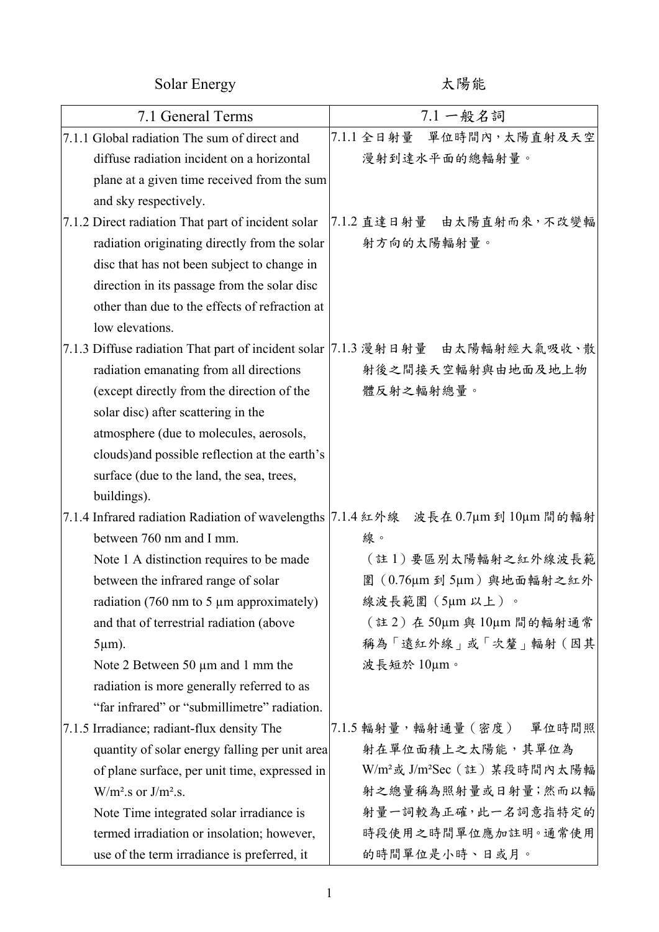Solar Energy http://www.facebook.com/ 太陽能

| 7.1 General Terms                                  | 7.1 一般名詞                                                                       |
|----------------------------------------------------|--------------------------------------------------------------------------------|
| 7.1.1 Global radiation The sum of direct and       | 7.1.1 全日射量 單位時間內,太陽直射及天空                                                       |
| diffuse radiation incident on a horizontal         | 漫射到達水平面的總輻射量。                                                                  |
| plane at a given time received from the sum        |                                                                                |
| and sky respectively.                              |                                                                                |
| 7.1.2 Direct radiation That part of incident solar | 7.1.2 直達日射量 由太陽直射而來,不改變輻                                                       |
| radiation originating directly from the solar      | 射方向的太陽輻射量。                                                                     |
| disc that has not been subject to change in        |                                                                                |
| direction in its passage from the solar disc       |                                                                                |
| other than due to the effects of refraction at     |                                                                                |
| low elevations.                                    |                                                                                |
|                                                    | 7.1.3 Diffuse radiation That part of incident solar   7.1.3 漫射日射量 由太陽輻射經大氣吸收、散 |
| radiation emanating from all directions            | 射後之間接天空輻射與由地面及地上物                                                              |
| (except directly from the direction of the         | 體反射之輻射總量。                                                                      |
| solar disc) after scattering in the                |                                                                                |
| atmosphere (due to molecules, aerosols,            |                                                                                |
| clouds) and possible reflection at the earth's     |                                                                                |
| surface (due to the land, the sea, trees,          |                                                                                |
| buildings).                                        |                                                                                |
| 7.1.4 Infrared radiation Radiation of wavelengths  | $17.1.4$ 紅外線 波長在 0.7μm 到 10μm 間的輻射                                             |
| between 760 nm and I mm.                           | 線。                                                                             |
| Note 1 A distinction requires to be made           | (註1)要區別太陽輻射之紅外線波長範                                                             |
| between the infrared range of solar                | 圍 (0.76μm 到 5μm) 與地面輻射之紅外                                                      |
| radiation (760 nm to 5 $\mu$ m approximately)      | 線波長範圍(5µm以上)。                                                                  |
| and that of terrestrial radiation (above           | (註2) 在 50μm 與 10μm 間的輻射通常                                                      |
| $5 \mu m$ ).                                       | 稱為「遠紅外線」或「次釐」輻射(因其                                                             |
| Note 2 Between 50 µm and 1 mm the                  | 波長短於 10µm。                                                                     |
| radiation is more generally referred to as         |                                                                                |
| "far infrared" or "submillimetre" radiation.       |                                                                                |
| 7.1.5 Irradiance; radiant-flux density The         | 7.1.5 輻射量, 輻射通量 (密度) 單位時間照                                                     |
| quantity of solar energy falling per unit area     | 射在單位面積上之太陽能,其單位為                                                               |
| of plane surface, per unit time, expressed in      | W/m <sup>2</sup> 或 J/m <sup>2</sup> Sec (註) 某段時間內太陽輻                           |
| $W/m2$ .s or $J/m2$ .s.                            | 射之總量稱為照射量或日射量;然而以輻                                                             |
| Note Time integrated solar irradiance is           | 射量一詞較為正確,此一名詞意指特定的                                                             |
| termed irradiation or insolation; however,         | 時段使用之時間單位應加註明。通常使用                                                             |
| use of the term irradiance is preferred, it        | 的時間單位是小時、日或月。                                                                  |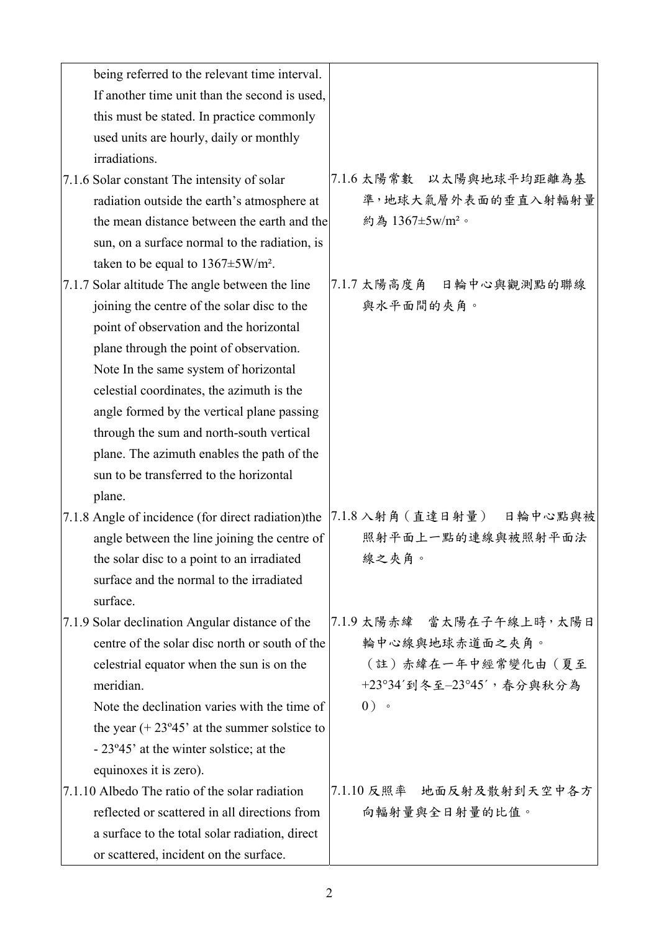| being referred to the relevant time interval.                 |                             |
|---------------------------------------------------------------|-----------------------------|
| If another time unit than the second is used,                 |                             |
| this must be stated. In practice commonly                     |                             |
| used units are hourly, daily or monthly                       |                             |
| irradiations.                                                 |                             |
| 7.1.6 Solar constant The intensity of solar                   | 7.1.6 太陽常數 以太陽與地球平均距離為基     |
| radiation outside the earth's atmosphere at                   | 準,地球大氣層外表面的垂直入射輻射量          |
| the mean distance between the earth and the                   | 約為 1367±5w/m <sup>2</sup> 。 |
| sun, on a surface normal to the radiation, is                 |                             |
| taken to be equal to $1367 \pm 5 W/m^2$ .                     |                             |
| 7.1.7 Solar altitude The angle between the line               | 7.1.7 太陽高度角 日輪中心與觀測點的聯線     |
| joining the centre of the solar disc to the                   | 與水平面間的夾角。                   |
| point of observation and the horizontal                       |                             |
| plane through the point of observation.                       |                             |
| Note In the same system of horizontal                         |                             |
| celestial coordinates, the azimuth is the                     |                             |
| angle formed by the vertical plane passing                    |                             |
| through the sum and north-south vertical                      |                             |
| plane. The azimuth enables the path of the                    |                             |
| sun to be transferred to the horizontal                       |                             |
| plane.                                                        |                             |
| 7.1.8 Angle of incidence (for direct radiation)the            | 7.1.8 入射角 (直達日射量) 日輪中心點與被   |
| angle between the line joining the centre of                  | 照射平面上一點的連線與被照射平面法           |
| the solar disc to a point to an irradiated                    | 線之夾角。                       |
| surface and the normal to the irradiated                      |                             |
| surface.                                                      |                             |
| 7.1.9 Solar declination Angular distance of the               | 7.1.9 太陽赤緯 當太陽在子午線上時,太陽日    |
| centre of the solar disc north or south of the                | 輪中心線與地球赤道面之夾角。              |
| celestrial equator when the sun is on the                     | (註) 赤緯在一年中經常變化由 (夏至         |
| meridian.                                                     | +23°34'到冬至-23°45', 春分與秋分為   |
| Note the declination varies with the time of                  | $0)$ .                      |
| the year $(+ 23^{\circ}45^{\circ})$ at the summer solstice to |                             |
| - 23°45' at the winter solstice; at the                       |                             |
| equinoxes it is zero).                                        |                             |
| 7.1.10 Albedo The ratio of the solar radiation                | 7.1.10 反照率 地面反射及散射到天空中各方    |
| reflected or scattered in all directions from                 | 向輻射量與全日射量的比值。               |
| a surface to the total solar radiation, direct                |                             |
| or scattered, incident on the surface.                        |                             |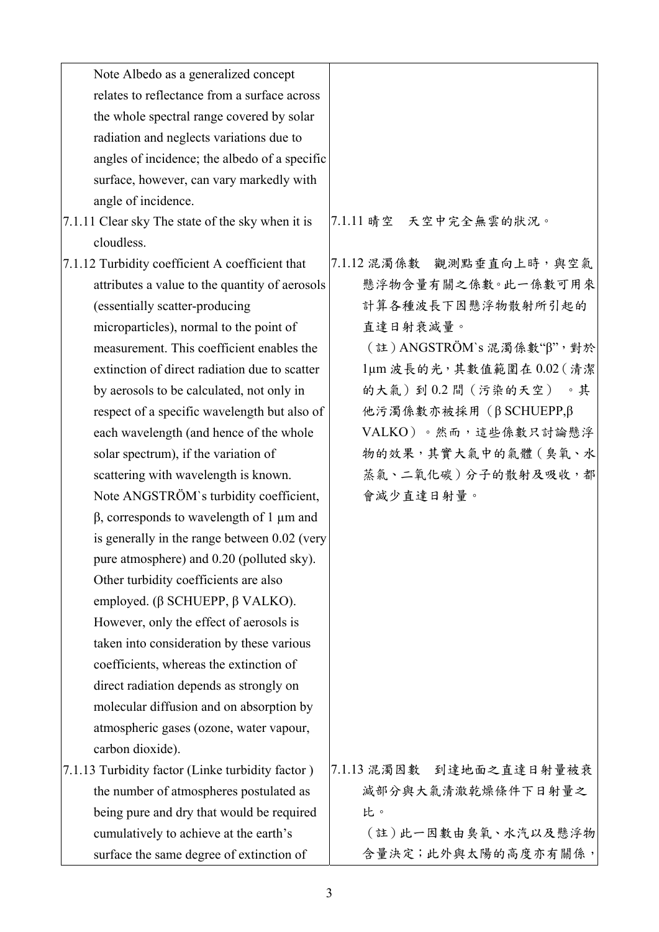| Note Albedo as a generalized concept             |                          |
|--------------------------------------------------|--------------------------|
| relates to reflectance from a surface across     |                          |
| the whole spectral range covered by solar        |                          |
| radiation and neglects variations due to         |                          |
| angles of incidence; the albedo of a specific    |                          |
| surface, however, can vary markedly with         |                          |
| angle of incidence.                              |                          |
| 7.1.11 Clear sky The state of the sky when it is | 7.1.11 晴空 天空中完全無雲的狀況。    |
| cloudless.                                       |                          |
| 7.1.12 Turbidity coefficient A coefficient that  | 7.1.12 混濁係數 觀測點垂直向上時,與空氣 |
| attributes a value to the quantity of aerosols   | 懸浮物含量有關之係數。此一係數可用來       |
| (essentially scatter-producing                   | 計算各種波長下因懸浮物散射所引起的        |
| microparticles), normal to the point of          | 直達日射衰減量。                 |
| measurement. This coefficient enables the        | (註)ANGSTRÖM's混濁係數"β",對於  |
| extinction of direct radiation due to scatter    | 1µm 波長的光,其數值範圍在0.02 (清潔  |
| by aerosols to be calculated, not only in        | 的大氣)到0.2間(污染的天空)。其       |
| respect of a specific wavelength but also of     | 他污濁係數亦被採用 (β SCHUEPP,β   |
| each wavelength (and hence of the whole          | VALKO)。然而,這些係數只討論懸浮      |
| solar spectrum), if the variation of             | 物的效果,其實大氣中的氣體(臭氧、水       |
| scattering with wavelength is known.             | 蒸氣、二氧化碳)分子的散射及吸收,都       |
| Note ANGSTRÖM's turbidity coefficient,           | 會減少直達日射量。                |
| $\beta$ , corresponds to wavelength of 1 µm and  |                          |
| is generally in the range between 0.02 (very     |                          |
| pure atmosphere) and 0.20 (polluted sky).        |                          |
| Other turbidity coefficients are also            |                          |
| employed. ( $\beta$ SCHUEPP, $\beta$ VALKO).     |                          |
| However, only the effect of aerosols is          |                          |
| taken into consideration by these various        |                          |
| coefficients, whereas the extinction of          |                          |
| direct radiation depends as strongly on          |                          |
| molecular diffusion and on absorption by         |                          |
| atmospheric gases (ozone, water vapour,          |                          |
| carbon dioxide).                                 |                          |
| 7.1.13 Turbidity factor (Linke turbidity factor) | 7.1.13 混濁因數 到達地面之直達日射量被衰 |
| the number of atmospheres postulated as          | 減部分與大氣清澈乾燥條件下日射量之        |
| being pure and dry that would be required        | 比。                       |
| cumulatively to achieve at the earth's           | (註)此一因數由臭氧、水汽以及懸浮物       |
| surface the same degree of extinction of         | 含量決定;此外與太陽的高度亦有關係,       |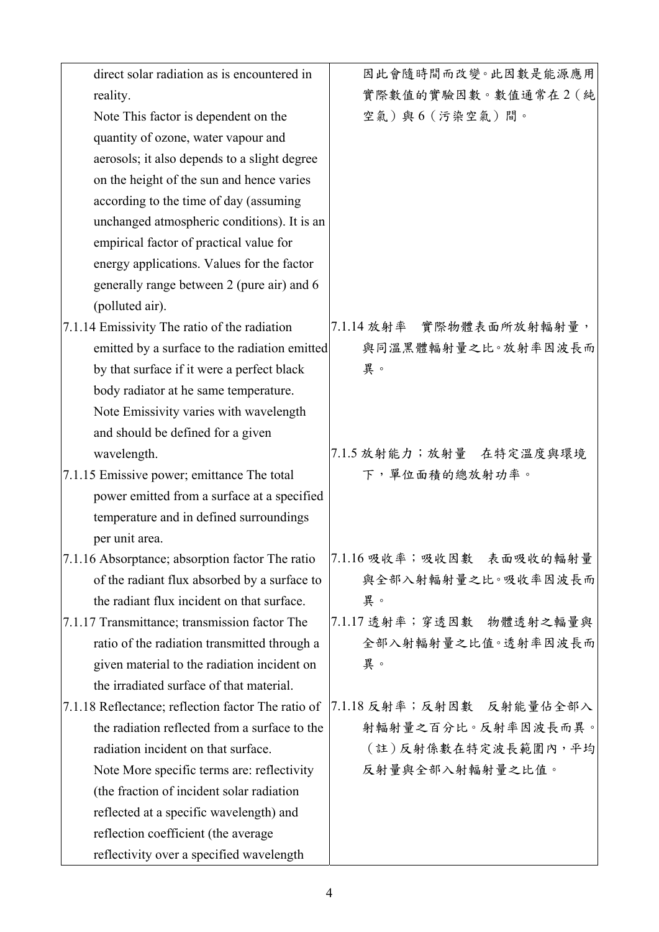| direct solar radiation as is encountered in        | 因此會隨時間而改變。此因數是能源應用          |
|----------------------------------------------------|-----------------------------|
| reality.                                           | 實際數值的實驗因數。數值通常在2(純          |
| Note This factor is dependent on the               | 空氣)與6(污染空氣)間。               |
| quantity of ozone, water vapour and                |                             |
| aerosols; it also depends to a slight degree       |                             |
| on the height of the sun and hence varies          |                             |
| according to the time of day (assuming             |                             |
| unchanged atmospheric conditions). It is an        |                             |
| empirical factor of practical value for            |                             |
| energy applications. Values for the factor         |                             |
| generally range between 2 (pure air) and 6         |                             |
| (polluted air).                                    |                             |
| 7.1.14 Emissivity The ratio of the radiation       | 實際物體表面所放射輻射量,<br>7.1.14 放射率 |
| emitted by a surface to the radiation emitted      | 與同溫黑體輻射量之比。放射率因波長而          |
| by that surface if it were a perfect black         | 異。                          |
| body radiator at he same temperature.              |                             |
| Note Emissivity varies with wavelength             |                             |
| and should be defined for a given                  |                             |
| wavelength.                                        | 7.1.5 放射能力;放射量 在特定温度與環境     |
| 7.1.15 Emissive power; emittance The total         | 下,單位面積的總放射功率。               |
| power emitted from a surface at a specified        |                             |
| temperature and in defined surroundings            |                             |
| per unit area.                                     |                             |
| 7.1.16 Absorptance; absorption factor The ratio    | 7.1.16 吸收率;吸收因數 表面吸收的輻射量    |
| of the radiant flux absorbed by a surface to       | 與全部入射輻射量之比。吸收率因波長而          |
| the radiant flux incident on that surface.         | 異。                          |
| 7.1.17 Transmittance; transmission factor The      | 7.1.17 透射率;穿透因數 物體透射之輻量與    |
| ratio of the radiation transmitted through a       | 全部入射輻射量之比值。透射率因波長而          |
| given material to the radiation incident on        | 異。                          |
| the irradiated surface of that material.           |                             |
| 7.1.18 Reflectance; reflection factor The ratio of | 7.1.18 反射率;反射因數 反射能量佔全部入    |
| the radiation reflected from a surface to the      | 射輻射量之百分比。反射率因波長而異。          |
| radiation incident on that surface.                | (註)反射係數在特定波長範圍內,平均          |
| Note More specific terms are: reflectivity         | 反射量與全部入射輻射量之比值。             |
| (the fraction of incident solar radiation)         |                             |
| reflected at a specific wavelength) and            |                             |
| reflection coefficient (the average                |                             |
| reflectivity over a specified wavelength           |                             |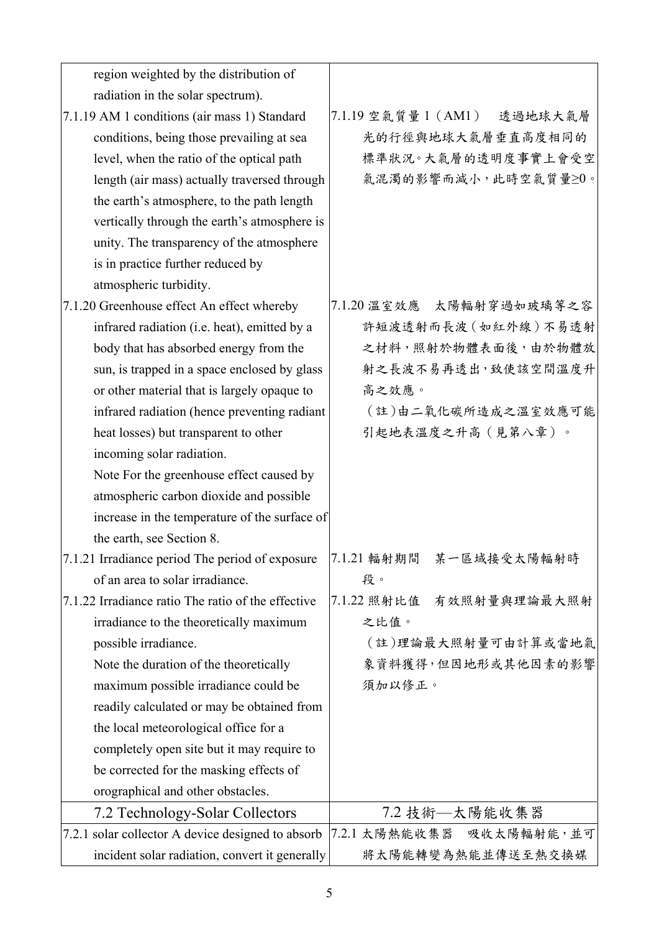| region weighted by the distribution of                                  |                                |
|-------------------------------------------------------------------------|--------------------------------|
| radiation in the solar spectrum).                                       |                                |
| 7.1.19 AM 1 conditions (air mass 1) Standard                            | 7.1.19 空氣質量 1 (AM1)<br>透過地球大氣層 |
| conditions, being those prevailing at sea                               | 光的行徑與地球大氣層垂直高度相同的              |
| level, when the ratio of the optical path                               | 標準狀況。大氣層的透明度事實上會受空             |
| length (air mass) actually traversed through                            | 氣混濁的影響而減小,此時空氣質量≥0。            |
| the earth's atmosphere, to the path length                              |                                |
| vertically through the earth's atmosphere is                            |                                |
| unity. The transparency of the atmosphere                               |                                |
| is in practice further reduced by                                       |                                |
| atmospheric turbidity.                                                  |                                |
| 7.1.20 Greenhouse effect An effect whereby                              | 7.1.20 温室效應 太陽輻射穿過如玻璃等之容       |
| infrared radiation (i.e. heat), emitted by a                            | 許短波透射而長波 (如紅外線)不易透射            |
| body that has absorbed energy from the                                  | 之材料,照射於物體表面後,由於物體放             |
| sun, is trapped in a space enclosed by glass                            | 射之長波不易再透出,致使該空間溫度升             |
| or other material that is largely opaque to                             | 高之效應。                          |
| infrared radiation (hence preventing radiant                            | (註)由二氧化碳所造成之溫室效應可能             |
| heat losses) but transparent to other                                   | 引起地表溫度之升高(見第八章)。               |
| incoming solar radiation.                                               |                                |
| Note For the greenhouse effect caused by                                |                                |
| atmospheric carbon dioxide and possible                                 |                                |
| increase in the temperature of the surface of                           |                                |
| the earth, see Section 8.                                               |                                |
| 7.1.21 Irradiance period The period of exposure 7.1.21 輻射期間 某一區域接受太陽輻射時 |                                |
| of an area to solar irradiance.                                         | 段。                             |
| 7.1.22 Irradiance ratio The ratio of the effective                      | 7.1.22 照射比值<br>有效照射量與理論最大照射    |
| irradiance to the theoretically maximum                                 | 之比值。                           |
| possible irradiance.                                                    | (註)理論最大照射量可由計算或當地氣             |
| Note the duration of the theoretically                                  | 象資料獲得,但因地形或其他因素的影響             |
| maximum possible irradiance could be                                    | 須加以修正。                         |
| readily calculated or may be obtained from                              |                                |
| the local meteorological office for a                                   |                                |
| completely open site but it may require to                              |                                |
| be corrected for the masking effects of                                 |                                |
| orographical and other obstacles.                                       |                                |
| 7.2 Technology-Solar Collectors                                         | 7.2 技術––太陽能收集器                 |
| 7.2.1 solar collector A device designed to absorb                       | 7.2.1 太陽熱能收集器<br>吸收太陽輻射能,並可    |
| incident solar radiation, convert it generally                          | 將太陽能轉變為熱能並傳送至熱交換媒              |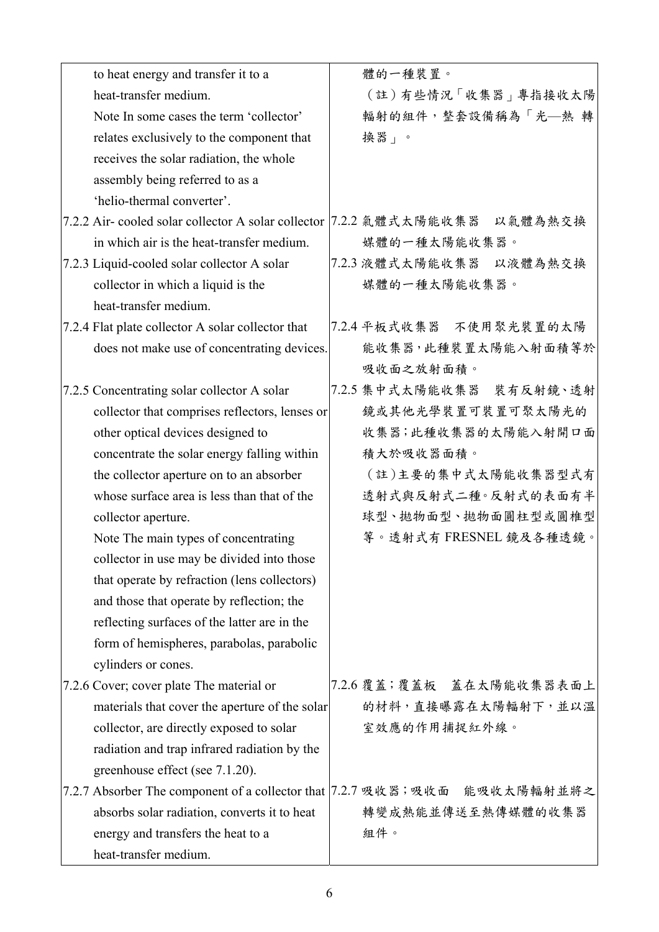| to heat energy and transfer it to a                | 體的一種裝置。                                                                      |
|----------------------------------------------------|------------------------------------------------------------------------------|
| heat-transfer medium.                              | (註)有些情況「收集器」專指接收太陽                                                           |
| Note In some cases the term 'collector'            | 輻射的組件,整套設備稱為「光–熱轉                                                            |
| relates exclusively to the component that          | 换器」。                                                                         |
| receives the solar radiation, the whole            |                                                                              |
| assembly being referred to as a                    |                                                                              |
| 'helio-thermal converter'.                         |                                                                              |
| 7.2.2 Air-cooled solar collector A solar collector | 7.2.2 氣體式太陽能收集器 以氣體為熱交換                                                      |
| in which air is the heat-transfer medium.          | 媒體的一種太陽能收集器。                                                                 |
| 7.2.3 Liquid-cooled solar collector A solar        | 7.2.3 液體式太陽能收集器 以液體為熱交換                                                      |
| collector in which a liquid is the                 | 媒體的一種太陽能收集器。                                                                 |
| heat-transfer medium.                              |                                                                              |
| 7.2.4 Flat plate collector A solar collector that  | 7.2.4 平板式收集器 不使用聚光裝置的太陽                                                      |
| does not make use of concentrating devices.        | 能收集器,此種裝置太陽能入射面積等於                                                           |
|                                                    | 吸收面之放射面積。                                                                    |
| 7.2.5 Concentrating solar collector A solar        | 7.2.5 集中式太陽能收集器 裝有反射鏡、透射                                                     |
| collector that comprises reflectors, lenses or     | 鏡或其他光學裝置可裝置可聚太陽光的                                                            |
| other optical devices designed to                  | 收集器;此種收集器的太陽能入射開口面                                                           |
| concentrate the solar energy falling within        | 積大於吸收器面積。                                                                    |
| the collector aperture on to an absorber           | (註)主要的集中式太陽能收集器型式有                                                           |
| whose surface area is less than that of the        | 透射式與反射式二種。反射式的表面有半                                                           |
| collector aperture.                                | 球型、拋物面型、拋物面圓柱型或圓椎型                                                           |
| Note The main types of concentrating               | 等。透射式有 FRESNEL 鏡及各種透鏡。                                                       |
| collector in use may be divided into those         |                                                                              |
| that operate by refraction (lens collectors)       |                                                                              |
| and those that operate by reflection; the          |                                                                              |
| reflecting surfaces of the latter are in the       |                                                                              |
| form of hemispheres, parabolas, parabolic          |                                                                              |
| cylinders or cones.                                |                                                                              |
| 7.2.6 Cover; cover plate The material or           | 7.2.6 覆蓋;覆蓋板 蓋在太陽能收集器表面上                                                     |
| materials that cover the aperture of the solar     | 的材料,直接曝露在太陽輻射下,並以溫                                                           |
| collector, are directly exposed to solar           | 室效應的作用捕捉紅外線。                                                                 |
| radiation and trap infrared radiation by the       |                                                                              |
| greenhouse effect (see 7.1.20).                    |                                                                              |
|                                                    | 7.2.7 Absorber The component of a collector that   7.2.7 吸收器; 吸收面 能吸收太陽輻射並將之 |
| absorbs solar radiation, converts it to heat       | 轉變成熱能並傳送至熱傳媒體的收集器                                                            |
| energy and transfers the heat to a                 | 組件。                                                                          |
| heat-transfer medium.                              |                                                                              |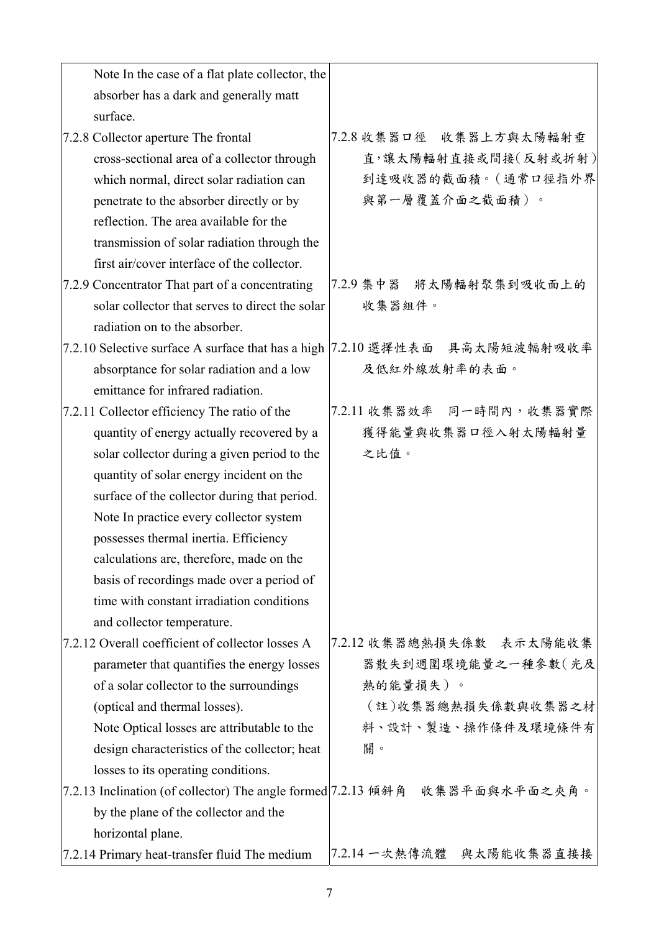| Note In the case of a flat plate collector, the               |                                                                               |
|---------------------------------------------------------------|-------------------------------------------------------------------------------|
| absorber has a dark and generally matt                        |                                                                               |
| surface.                                                      |                                                                               |
| 7.2.8 Collector aperture The frontal                          | 7.2.8 收集器口徑 收集器上方與太陽輻射垂                                                       |
| cross-sectional area of a collector through                   | 直,讓太陽輻射直接或間接(反射或折射)                                                           |
| which normal, direct solar radiation can                      | 到達吸收器的截面積。(通常口徑指外界                                                            |
| penetrate to the absorber directly or by                      | 與第一層覆蓋介面之截面積)。                                                                |
| reflection. The area available for the                        |                                                                               |
| transmission of solar radiation through the                   |                                                                               |
| first air/cover interface of the collector.                   |                                                                               |
| 7.2.9 Concentrator That part of a concentrating               | 7.2.9 集中器 將太陽輻射聚集到吸收面上的                                                       |
| solar collector that serves to direct the solar               | 收集器組件。                                                                        |
| radiation on to the absorber.                                 |                                                                               |
|                                                               | 7.2.10 Selective surface A surface that has a high   7.2.10 選擇性表面 具高太陽短波輻射吸收率 |
| absorptance for solar radiation and a low                     | 及低紅外線放射率的表面。                                                                  |
| emittance for infrared radiation.                             |                                                                               |
| 7.2.11 Collector efficiency The ratio of the                  | 7.2.11 收集器效率 同一時間內,收集器實際                                                      |
| quantity of energy actually recovered by a                    | 獲得能量與收集器口徑入射太陽輻射量                                                             |
| solar collector during a given period to the                  | 之比值。                                                                          |
| quantity of solar energy incident on the                      |                                                                               |
| surface of the collector during that period.                  |                                                                               |
| Note In practice every collector system                       |                                                                               |
| possesses thermal inertia. Efficiency                         |                                                                               |
| calculations are, therefore, made on the                      |                                                                               |
| basis of recordings made over a period of                     |                                                                               |
| time with constant irradiation conditions                     |                                                                               |
| and collector temperature.                                    |                                                                               |
| 7.2.12 Overall coefficient of collector losses A              | 7.2.12 收集器總熱損失係數 表示太陽能收集                                                      |
| parameter that quantifies the energy losses                   | 器散失到週圍環境能量之一種參數(光及                                                            |
| of a solar collector to the surroundings                      | 熱的能量損失)。                                                                      |
| (optical and thermal losses).                                 | (註)收集器總熱損失係數與收集器之材                                                            |
| Note Optical losses are attributable to the                   | 料、設計、製造、操作條件及環境條件有                                                            |
| design characteristics of the collector; heat                 | 關。                                                                            |
| losses to its operating conditions.                           |                                                                               |
| 7.2.13 Inclination (of collector) The angle formed 7.2.13 傾斜角 | 收集器平面與水平面之夾角。                                                                 |
| by the plane of the collector and the                         |                                                                               |
| horizontal plane.                                             |                                                                               |
| 7.2.14 Primary heat-transfer fluid The medium                 | 7.2.14 一次熱傳流體<br>與太陽能收集器直接接                                                   |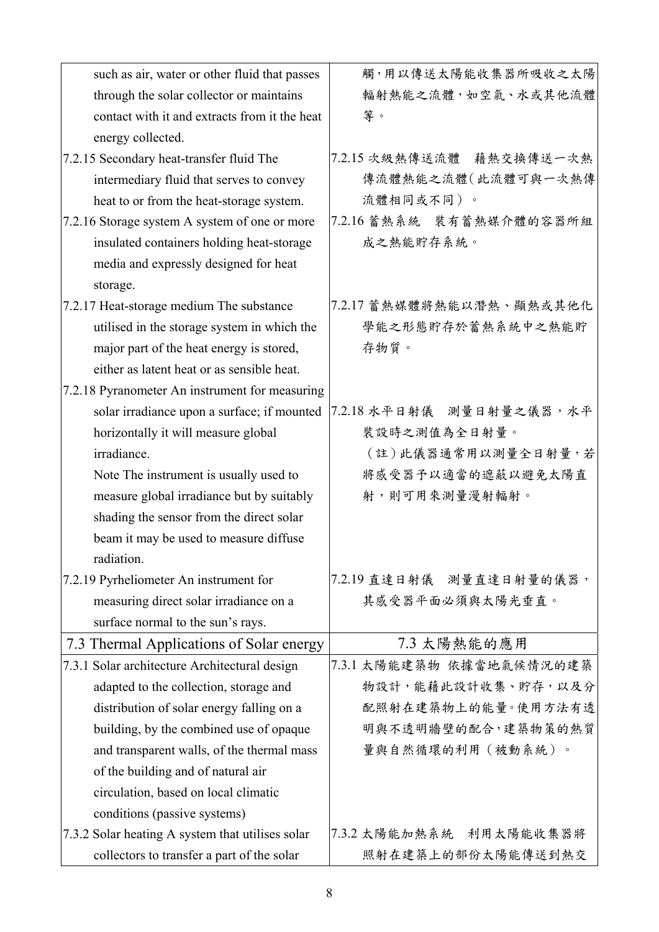| such as air, water or other fluid that passes    | 觸,用以傳送太陽能收集器所吸收之太陽       |
|--------------------------------------------------|--------------------------|
| through the solar collector or maintains         | 輻射熱能之流體,如空氣、水或其他流體       |
| contact with it and extracts from it the heat    | 等。                       |
| energy collected.                                |                          |
| 7.2.15 Secondary heat-transfer fluid The         | 7.2.15 次級熱傳送流體 藉熱交換傳送一次熱 |
| intermediary fluid that serves to convey         | 傳流體熱能之流體(此流體可與一次熱傳       |
| heat to or from the heat-storage system.         | 流體相同或不同)。                |
| 7.2.16 Storage system A system of one or more    | 7.2.16 蓄熱系統 裝有蓄熱媒介體的容器所組 |
| insulated containers holding heat-storage        | 成之熱能貯存系統。                |
| media and expressly designed for heat            |                          |
| storage.                                         |                          |
| 7.2.17 Heat-storage medium The substance         | 7.2.17 蓄熱媒體將熱能以潛熱、顯熱或其他化 |
| utilised in the storage system in which the      | 學能之形態貯存於蓄熱系統中之熱能貯        |
| major part of the heat energy is stored,         | 存物質。                     |
| either as latent heat or as sensible heat.       |                          |
| 7.2.18 Pyranometer An instrument for measuring   |                          |
| solar irradiance upon a surface; if mounted      | 7.2.18 水平日射儀 測量日射量之儀器,水平 |
| horizontally it will measure global              | 裝設時之測值為全日射量。             |
| irradiance.                                      | (註)此儀器通常用以測量全日射量,若       |
| Note The instrument is usually used to           | 將感受器予以適當的遮蔽以避免太陽直        |
| measure global irradiance but by suitably        | 射,則可用來測量漫射輻射。            |
| shading the sensor from the direct solar         |                          |
| beam it may be used to measure diffuse           |                          |
| radiation.                                       |                          |
| 7.2.19 Pyrheliometer An instrument for           | 7.2.19 直達日射儀 測量直達日射量的儀器, |
| measuring direct solar irradiance on a           | 其感受器平面必須與太陽光垂直。          |
| surface normal to the sun's rays.                |                          |
| 7.3 Thermal Applications of Solar energy         | 7.3 太陽熱能的應用              |
| 7.3.1 Solar architecture Architectural design    | 7.3.1 太陽能建築物 依據當地氣候情況的建築 |
| adapted to the collection, storage and           | 物設計,能藉此設計收集、貯存,以及分       |
| distribution of solar energy falling on a        | 配照射在建築物上的能量。使用方法有透       |
| building, by the combined use of opaque          | 明與不透明牆壁的配合,建築物策的熱質       |
| and transparent walls, of the thermal mass       | 量與自然循環的利用(被動系統)。         |
| of the building and of natural air               |                          |
| circulation, based on local climatic             |                          |
| conditions (passive systems)                     |                          |
| 7.3.2 Solar heating A system that utilises solar | 7.3.2 太陽能加熱系統 利用太陽能收集器將  |
| collectors to transfer a part of the solar       | 照射在建築上的部份太陽能傳送到熱交        |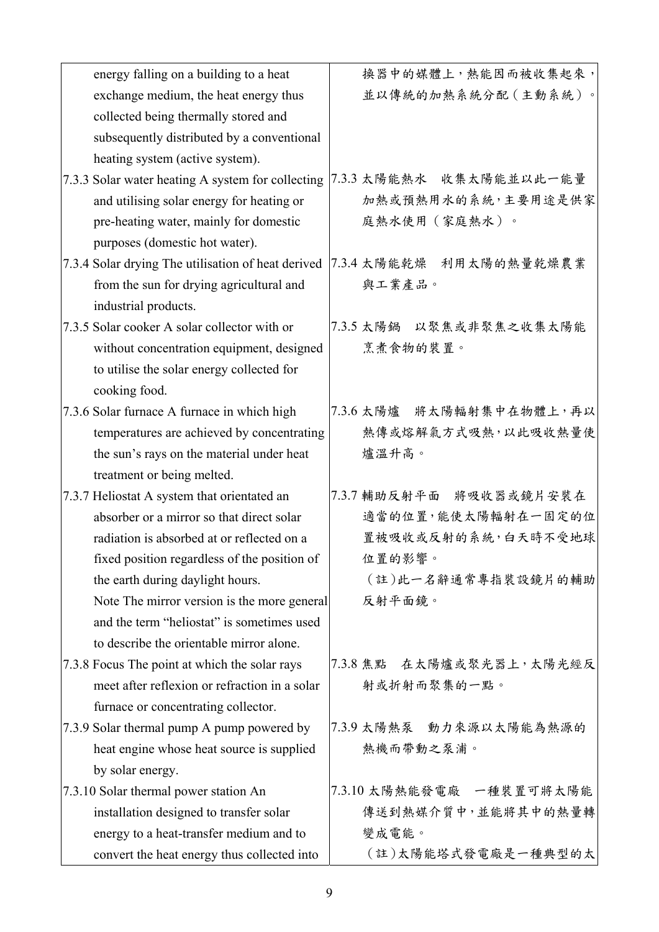| energy falling on a building to a heat             | 换器中的媒體上,熱能因而被收集起來,       |
|----------------------------------------------------|--------------------------|
| exchange medium, the heat energy thus              | 並以傳統的加熱系統分配(主動系統)。       |
| collected being thermally stored and               |                          |
| subsequently distributed by a conventional         |                          |
| heating system (active system).                    |                          |
| 7.3.3 Solar water heating A system for collecting  | 7.3.3 太陽能熱水 收集太陽能並以此一能量  |
| and utilising solar energy for heating or          | 加熱或預熱用水的系統,主要用途是供家       |
| pre-heating water, mainly for domestic             | 庭熱水使用(家庭熱水)。             |
| purposes (domestic hot water).                     |                          |
| 7.3.4 Solar drying The utilisation of heat derived | 7.3.4 太陽能乾燥 利用太陽的熱量乾燥農業  |
| from the sun for drying agricultural and           | 與工業產品。                   |
| industrial products.                               |                          |
| 7.3.5 Solar cooker A solar collector with or       | 7.3.5 太陽鍋 以聚焦或非聚焦之收集太陽能  |
| without concentration equipment, designed          | 烹煮食物的裝置。                 |
| to utilise the solar energy collected for          |                          |
| cooking food.                                      |                          |
| 7.3.6 Solar furnace A furnace in which high        | 7.3.6 太陽爐 將太陽輻射集中在物體上,再以 |
| temperatures are achieved by concentrating         | 熱傳或熔解氣方式吸熱,以此吸收熱量使       |
| the sun's rays on the material under heat          | 爐溫升高。                    |
| treatment or being melted.                         |                          |
| 7.3.7 Heliostat A system that orientated an        | 7.3.7 辅助反射平面 将吸收器或镜片安装在  |
| absorber or a mirror so that direct solar          | 適當的位置,能使太陽輻射在一固定的位       |
| radiation is absorbed at or reflected on a         | 置被吸收或反射的系統,白天時不受地球       |
| fixed position regardless of the position of       | 位置的影響。                   |
| the earth during daylight hours.                   | (註)此一名辭通常專指裝設鏡片的輔助       |
| Note The mirror version is the more general        | 反射平面鏡。                   |
| and the term "heliostat" is sometimes used         |                          |
| to describe the orientable mirror alone.           |                          |
| 7.3.8 Focus The point at which the solar rays      | 7.3.8 焦點 在太陽爐或聚光器上,太陽光經反 |
| meet after reflexion or refraction in a solar      | 射或折射而聚集的一點。              |
| furnace or concentrating collector.                |                          |
| 7.3.9 Solar thermal pump A pump powered by         | 7.3.9 太陽熱泵 動力來源以太陽能為熱源的  |
| heat engine whose heat source is supplied          | 熱機而帶動之泵浦。                |
| by solar energy.                                   |                          |
| 7.3.10 Solar thermal power station An              | 7.3.10 太陽熱能發電廠 一種裝置可將太陽能 |
| installation designed to transfer solar            | 傳送到熱媒介質中,並能將其中的熱量轉       |
| energy to a heat-transfer medium and to            | 變成電能。                    |
| convert the heat energy thus collected into        | (註)太陽能塔式發電廠是一種典型的太       |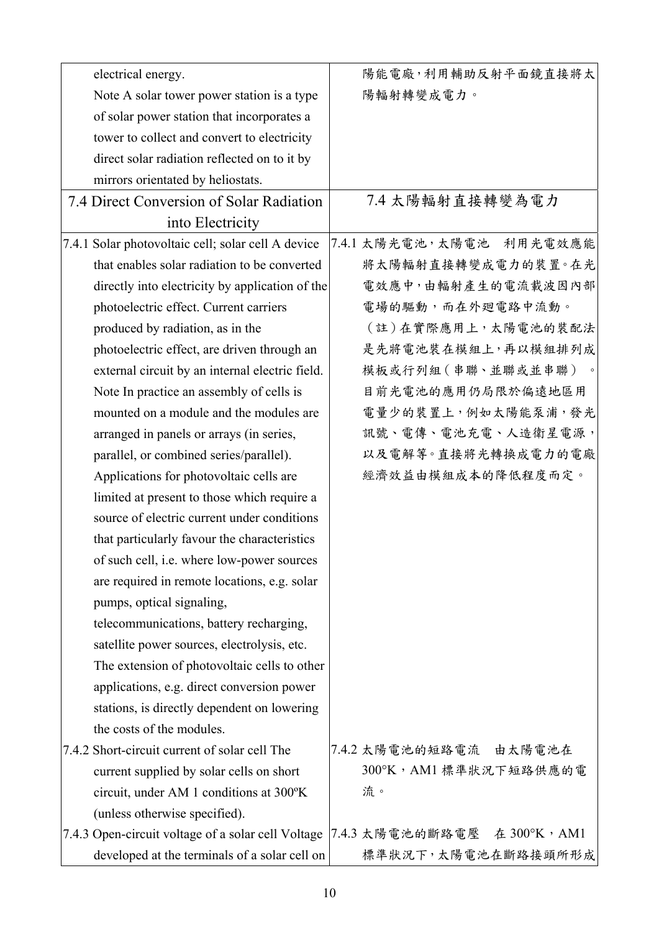| electrical energy.                                 | 陽能電廠,利用輔助反射平面鏡直接將太            |
|----------------------------------------------------|-------------------------------|
| Note A solar tower power station is a type         | 陽輻射轉變成電力。                     |
| of solar power station that incorporates a         |                               |
| tower to collect and convert to electricity        |                               |
| direct solar radiation reflected on to it by       |                               |
| mirrors orientated by heliostats.                  |                               |
| 7.4 Direct Conversion of Solar Radiation           | 7.4 太陽輻射直接轉變為電力               |
| into Electricity                                   |                               |
| 7.4.1 Solar photovoltaic cell; solar cell A device | 7.4.1 太陽光電池,太陽電池 利用光電效應能      |
| that enables solar radiation to be converted       | 將太陽輻射直接轉變成電力的裝置。在光            |
| directly into electricity by application of the    | 電效應中,由輻射產生的電流載波因內部            |
| photoelectric effect. Current carriers             | 電場的驅動,而在外廻電路中流動。              |
| produced by radiation, as in the                   | (註)在實際應用上,太陽電池的裝配法            |
| photoelectric effect, are driven through an        | 是先將電池裝在模組上,再以模組排列成            |
| external circuit by an internal electric field.    | 模板或行列組 (串聯、並聯或並串聯)            |
| Note In practice an assembly of cells is           | 目前光電池的應用仍局限於偏遠地區用             |
| mounted on a module and the modules are            | 電量少的裝置上,例如太陽能泵浦,發光            |
| arranged in panels or arrays (in series,           | 訊號、電傳、電池充電、人造衛星電源,            |
| parallel, or combined series/parallel).            | 以及電解等。直接將光轉換成電力的電廠            |
| Applications for photovoltaic cells are            | 經濟效益由模組成本的降低程度而定。             |
| limited at present to those which require a        |                               |
| source of electric current under conditions        |                               |
| that particularly favour the characteristics       |                               |
| of such cell, <i>i.e.</i> where low-power sources  |                               |
| are required in remote locations, e.g. solar       |                               |
| pumps, optical signaling,                          |                               |
| telecommunications, battery recharging,            |                               |
| satellite power sources, electrolysis, etc.        |                               |
| The extension of photovoltaic cells to other       |                               |
| applications, e.g. direct conversion power         |                               |
| stations, is directly dependent on lowering        |                               |
| the costs of the modules.                          |                               |
| 7.4.2 Short-circuit current of solar cell The      | 7.4.2 太陽電池的短路電流 由太陽電池在        |
| current supplied by solar cells on short           | 300°K, AM1 標準狀況下短路供應的電        |
| circuit, under AM 1 conditions at 300°K            | 流。                            |
| (unless otherwise specified).                      |                               |
| 7.4.3 Open-circuit voltage of a solar cell Voltage | [7.4.3 太陽電池的斷路電壓 在 300°K, AM1 |
| developed at the terminals of a solar cell on      | 標準狀況下,太陽電池在斷路接頭所形成            |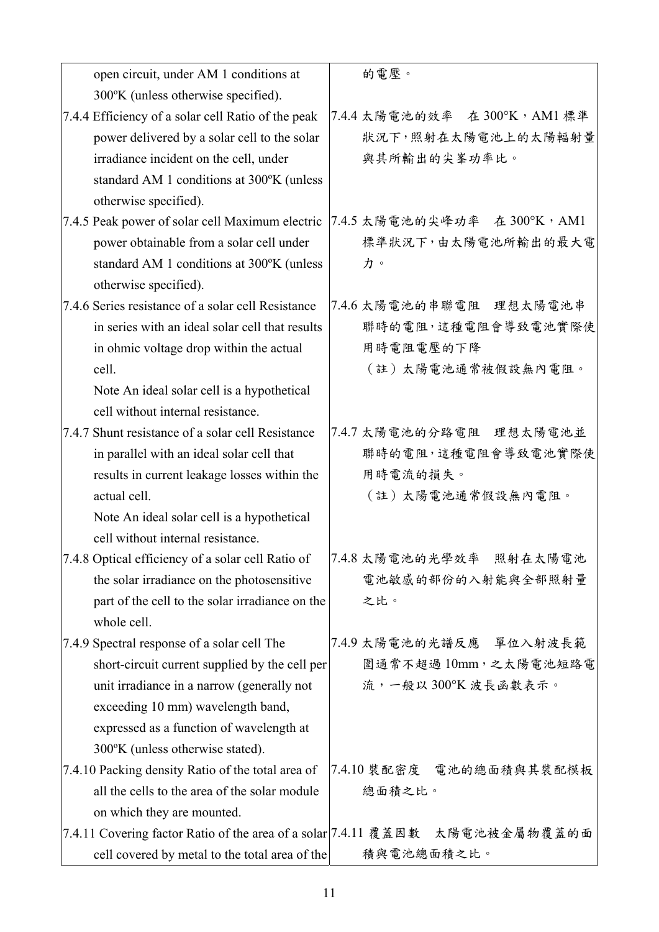| open circuit, under AM 1 conditions at                                       | 的電壓。                          |
|------------------------------------------------------------------------------|-------------------------------|
| 300°K (unless otherwise specified).                                          |                               |
| 7.4.4 Efficiency of a solar cell Ratio of the peak                           | 7.4.4 太陽電池的效率 在 300°K, AM1 標準 |
| power delivered by a solar cell to the solar                                 | 狀況下,照射在太陽電池上的太陽輻射量            |
| irradiance incident on the cell, under                                       | 與其所輸出的尖峯功率比。                  |
| standard AM 1 conditions at 300°K (unless                                    |                               |
| otherwise specified).                                                        |                               |
| 7.4.5 Peak power of solar cell Maximum electric                              | 7.4.5 太陽電池的尖峰功率 在 300°K, AM1  |
| power obtainable from a solar cell under                                     | 標準狀況下,由太陽電池所輸出的最大電            |
| standard AM 1 conditions at 300°K (unless                                    | 力。                            |
| otherwise specified).                                                        |                               |
| 7.4.6 Series resistance of a solar cell Resistance                           | 7.4.6 太陽電池的串聯電阻 理想太陽電池串       |
| in series with an ideal solar cell that results                              | 聯時的電阻,這種電阻會導致電池實際使            |
| in ohmic voltage drop within the actual                                      | 用時電阻電壓的下降                     |
| cell.                                                                        | (註)太陽電池通常被假設無內電阻。             |
| Note An ideal solar cell is a hypothetical                                   |                               |
| cell without internal resistance.                                            |                               |
| 7.4.7 Shunt resistance of a solar cell Resistance                            | 7.4.7 太陽電池的分路電阻 理想太陽電池並       |
| in parallel with an ideal solar cell that                                    | 聯時的電阻,這種電阻會導致電池實際使            |
| results in current leakage losses within the                                 | 用時電流的損失。                      |
| actual cell.                                                                 | (註)太陽電池通常假設無內電阻。              |
| Note An ideal solar cell is a hypothetical                                   |                               |
| cell without internal resistance.                                            |                               |
| 7.4.8 Optical efficiency of a solar cell Ratio of                            | 7.4.8 太陽電池的光學效率 照射在太陽電池       |
| the solar irradiance on the photosensitive                                   | 電池敏感的部份的入射能與全部照射量             |
| part of the cell to the solar irradiance on the                              | 之比。                           |
| whole cell.                                                                  |                               |
| 7.4.9 Spectral response of a solar cell The                                  | 7.4.9 太陽電池的光譜反應 單位入射波長範       |
| short-circuit current supplied by the cell per                               | 圍通常不超過10mm,之太陽電池短路電           |
| unit irradiance in a narrow (generally not                                   | 流,一般以300°K波長函數表示。             |
| exceeding 10 mm) wavelength band,                                            |                               |
| expressed as a function of wavelength at                                     |                               |
| 300°K (unless otherwise stated).                                             |                               |
| 7.4.10 Packing density Ratio of the total area of                            | 7.4.10 裝配密度 電池的總面積與其裝配模板      |
| all the cells to the area of the solar module                                | 總面積之比。                        |
| on which they are mounted.                                                   |                               |
| 7.4.11 Covering factor Ratio of the area of a solar 7.4.11 覆蓋因數 太陽電池被金屬物覆蓋的面 |                               |
| cell covered by metal to the total area of the                               | 積與電池總面積之比。                    |